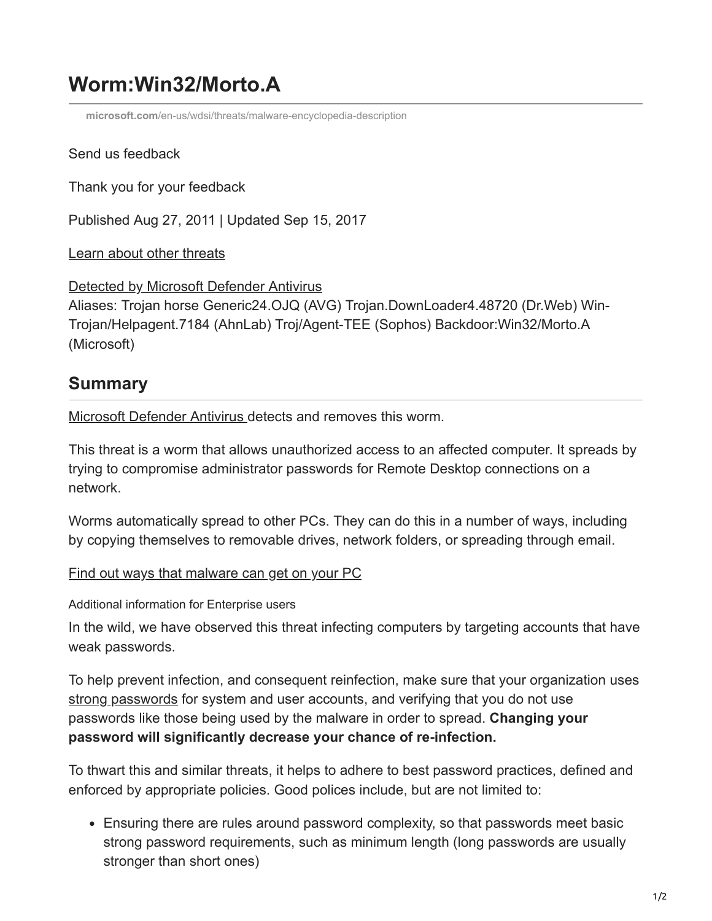# **Worm:Win32/Morto.A**

**microsoft.com**[/en-us/wdsi/threats/malware-encyclopedia-description](https://www.microsoft.com/en-us/wdsi/threats/malware-encyclopedia-description?Name=Worm:Win32/Morto.A)

# Send us feedback

Thank you for your feedback

Published Aug 27, 2011 | Updated Sep 15, 2017

[Learn about other threats](https://www.microsoft.com/en-us/wdsi/threats/)

[Detected by Microsoft Defender Antivirus](https://www.microsoft.com/en-us/windows/windows-defender?ocid=cx-wdsi-ency) Aliases: Trojan horse Generic24.OJQ (AVG) Trojan.DownLoader4.48720 (Dr.Web) Win-Trojan/Helpagent.7184 (AhnLab) Troj/Agent-TEE (Sophos) Backdoor:Win32/Morto.A (Microsoft)

# **Summary**

[Microsoft Defender Antivirus](https://www.microsoft.com/en-us/security/pc-security/windows-defender.aspx) detects and removes this worm.

This threat is a worm that allows unauthorized access to an affected computer. It spreads by trying to compromise administrator passwords for Remote Desktop connections on a network.

Worms automatically spread to other PCs. They can do this in a number of ways, including by copying themselves to removable drives, network folders, or spreading through email.

[Find out ways that malware can get on your PC](https://www.microsoft.com/security/portal/mmpc/help/infection.aspx)

Additional information for Enterprise users

In the wild, we have observed this threat infecting computers by targeting accounts that have weak passwords.

To help prevent infection, and consequent reinfection, make sure that your organization uses [strong passwords](http://www.microsoft.com/en-au/security/online-privacy/passwords-create.aspx) for system and user accounts, and verifying that you do not use passwords like those being used by the malware in order to spread. **Changing your password will significantly decrease your chance of re-infection.**

To thwart this and similar threats, it helps to adhere to best password practices, defined and enforced by appropriate policies. Good polices include, but are not limited to:

Ensuring there are rules around password complexity, so that passwords meet basic strong password requirements, such as minimum length (long passwords are usually stronger than short ones)